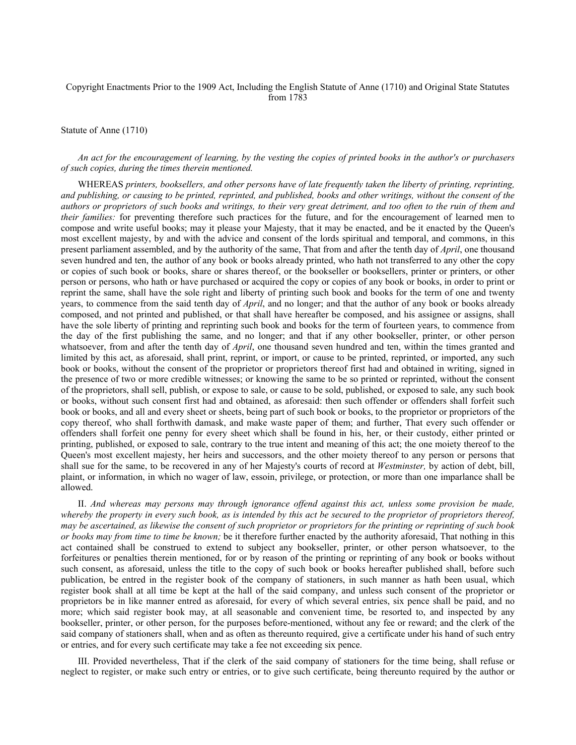## Copyright Enactments Prior to the 1909 Act, Including the English Statute of Anne (1710) and Original State Statutes from 1783

Statute of Anne (1710)

*An act for the encouragement of learning, by the vesting the copies of printed books in the author's or purchasers of such copies, during the times therein mentioned.*

WHEREAS *printers, booksellers, and other persons have of late frequently taken the liberty of printing, reprinting, and publishing, or causing to be printed, reprinted, and published, books and other writings, without the consent of the authors or proprietors of such books and writings, to their very great detriment, and too often to the ruin of them and their families:* for preventing therefore such practices for the future, and for the encouragement of learned men to compose and write useful books; may it please your Majesty, that it may be enacted, and be it enacted by the Queen's most excellent majesty, by and with the advice and consent of the lords spiritual and temporal, and commons, in this present parliament assembled, and by the authority of the same, That from and after the tenth day of *April*, one thousand seven hundred and ten, the author of any book or books already printed, who hath not transferred to any other the copy or copies of such book or books, share or shares thereof, or the bookseller or booksellers, printer or printers, or other person or persons, who hath or have purchased or acquired the copy or copies of any book or books, in order to print or reprint the same, shall have the sole right and liberty of printing such book and books for the term of one and twenty years, to commence from the said tenth day of *April*, and no longer; and that the author of any book or books already composed, and not printed and published, or that shall have hereafter be composed, and his assignee or assigns, shall have the sole liberty of printing and reprinting such book and books for the term of fourteen years, to commence from the day of the first publishing the same, and no longer; and that if any other bookseller, printer, or other person whatsoever, from and after the tenth day of *April*, one thousand seven hundred and ten, within the times granted and limited by this act, as aforesaid, shall print, reprint, or import, or cause to be printed, reprinted, or imported, any such book or books, without the consent of the proprietor or proprietors thereof first had and obtained in writing, signed in the presence of two or more credible witnesses; or knowing the same to be so printed or reprinted, without the consent of the proprietors, shall sell, publish, or expose to sale, or cause to be sold, published, or exposed to sale, any such book or books, without such consent first had and obtained, as aforesaid: then such offender or offenders shall forfeit such book or books, and all and every sheet or sheets, being part of such book or books, to the proprietor or proprietors of the copy thereof, who shall forthwith damask, and make waste paper of them; and further, That every such offender or offenders shall forfeit one penny for every sheet which shall be found in his, her, or their custody, either printed or printing, published, or exposed to sale, contrary to the true intent and meaning of this act; the one moiety thereof to the Queen's most excellent majesty, her heirs and successors, and the other moiety thereof to any person or persons that shall sue for the same, to be recovered in any of her Majesty's courts of record at *Westminster,* by action of debt, bill, plaint, or information, in which no wager of law, essoin, privilege, or protection, or more than one imparlance shall be allowed.

II. *And whereas may persons may through ignorance offend against this act, unless some provision be made, whereby the property in every such book, as is intended by this act be secured to the proprietor of proprietors thereof, may be ascertained, as likewise the consent of such proprietor or proprietors for the printing or reprinting of such book or books may from time to time be known;* be it therefore further enacted by the authority aforesaid, That nothing in this act contained shall be construed to extend to subject any bookseller, printer, or other person whatsoever, to the forfeitures or penalties therein mentioned, for or by reason of the printing or reprinting of any book or books without such consent, as aforesaid, unless the title to the copy of such book or books hereafter published shall, before such publication, be entred in the register book of the company of stationers, in such manner as hath been usual, which register book shall at all time be kept at the hall of the said company, and unless such consent of the proprietor or proprietors be in like manner entred as aforesaid, for every of which several entries, six pence shall be paid, and no more; which said register book may, at all seasonable and convenient time, be resorted to, and inspected by any bookseller, printer, or other person, for the purposes before-mentioned, without any fee or reward; and the clerk of the said company of stationers shall, when and as often as thereunto required, give a certificate under his hand of such entry or entries, and for every such certificate may take a fee not exceeding six pence.

III. Provided nevertheless, That if the clerk of the said company of stationers for the time being, shall refuse or neglect to register, or make such entry or entries, or to give such certificate, being thereunto required by the author or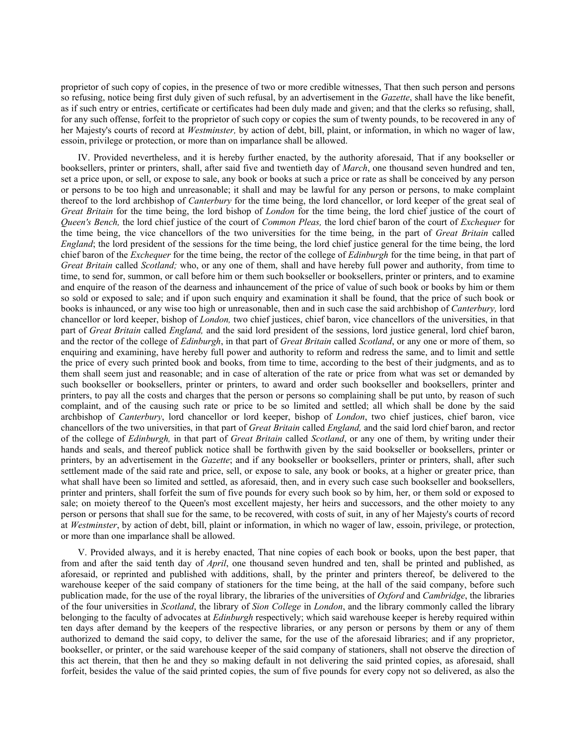proprietor of such copy of copies, in the presence of two or more credible witnesses, That then such person and persons so refusing, notice being first duly given of such refusal, by an advertisement in the *Gazette*, shall have the like benefit, as if such entry or entries, certificate or certificates had been duly made and given; and that the clerks so refusing, shall, for any such offense, forfeit to the proprietor of such copy or copies the sum of twenty pounds, to be recovered in any of her Majesty's courts of record at *Westminster,* by action of debt, bill, plaint, or information, in which no wager of law, essoin, privilege or protection, or more than on imparlance shall be allowed.

IV. Provided nevertheless, and it is hereby further enacted, by the authority aforesaid, That if any bookseller or booksellers, printer or printers, shall, after said five and twentieth day of *March*, one thousand seven hundred and ten, set a price upon, or sell, or expose to sale, any book or books at such a price or rate as shall be conceived by any person or persons to be too high and unreasonable; it shall and may be lawful for any person or persons, to make complaint thereof to the lord archbishop of *Canterbury* for the time being, the lord chancellor, or lord keeper of the great seal of *Great Britain* for the time being, the lord bishop of *London* for the time being, the lord chief justice of the court of *Queen's Bench,* the lord chief justice of the court of *Common Pleas,* the lord chief baron of the court of *Exchequer* for the time being, the vice chancellors of the two universities for the time being, in the part of *Great Britain* called *England*; the lord president of the sessions for the time being, the lord chief justice general for the time being, the lord chief baron of the *Exchequer* for the time being, the rector of the college of *Edinburgh* for the time being, in that part of *Great Britain* called *Scotland;* who, or any one of them, shall and have hereby full power and authority, from time to time, to send for, summon, or call before him or them such bookseller or booksellers, printer or printers, and to examine and enquire of the reason of the dearness and inhauncement of the price of value of such book or books by him or them so sold or exposed to sale; and if upon such enquiry and examination it shall be found, that the price of such book or books is inhaunced, or any wise too high or unreasonable, then and in such case the said archbishop of *Canterbury,* lord chancellor or lord keeper, bishop of *London,* two chief justices, chief baron, vice chancellors of the universities, in that part of *Great Britain* called *England,* and the said lord president of the sessions, lord justice general, lord chief baron, and the rector of the college of *Edinburgh*, in that part of *Great Britain* called *Scotland*, or any one or more of them, so enquiring and examining, have hereby full power and authority to reform and redress the same, and to limit and settle the price of every such printed book and books, from time to time, according to the best of their judgments, and as to them shall seem just and reasonable; and in case of alteration of the rate or price from what was set or demanded by such bookseller or booksellers, printer or printers, to award and order such bookseller and booksellers, printer and printers, to pay all the costs and charges that the person or persons so complaining shall be put unto, by reason of such complaint, and of the causing such rate or price to be so limited and settled; all which shall be done by the said archbishop of *Canterbury*, lord chancellor or lord keeper, bishop of *London*, two chief justices, chief baron, vice chancellors of the two universities, in that part of *Great Britain* called *England,* and the said lord chief baron, and rector of the college of *Edinburgh,* in that part of *Great Britain* called *Scotland*, or any one of them, by writing under their hands and seals, and thereof publick notice shall be forthwith given by the said bookseller or booksellers, printer or printers, by an advertisement in the *Gazette*; and if any bookseller or booksellers, printer or printers, shall, after such settlement made of the said rate and price, sell, or expose to sale, any book or books, at a higher or greater price, than what shall have been so limited and settled, as aforesaid, then, and in every such case such bookseller and booksellers, printer and printers, shall forfeit the sum of five pounds for every such book so by him, her, or them sold or exposed to sale; on moiety thereof to the Queen's most excellent majesty, her heirs and successors, and the other moiety to any person or persons that shall sue for the same, to be recovered, with costs of suit, in any of her Majesty's courts of record at *Westminster*, by action of debt, bill, plaint or information, in which no wager of law, essoin, privilege, or protection, or more than one imparlance shall be allowed.

V. Provided always, and it is hereby enacted, That nine copies of each book or books, upon the best paper, that from and after the said tenth day of *April*, one thousand seven hundred and ten, shall be printed and published, as aforesaid, or reprinted and published with additions, shall, by the printer and printers thereof, be delivered to the warehouse keeper of the said company of stationers for the time being, at the hall of the said company, before such publication made, for the use of the royal library, the libraries of the universities of *Oxford* and *Cambridge*, the libraries of the four universities in *Scotland*, the library of *Sion College* in *London*, and the library commonly called the library belonging to the faculty of advocates at *Edinburgh* respectively; which said warehouse keeper is hereby required within ten days after demand by the keepers of the respective libraries, or any person or persons by them or any of them authorized to demand the said copy, to deliver the same, for the use of the aforesaid libraries; and if any proprietor, bookseller, or printer, or the said warehouse keeper of the said company of stationers, shall not observe the direction of this act therein, that then he and they so making default in not delivering the said printed copies, as aforesaid, shall forfeit, besides the value of the said printed copies, the sum of five pounds for every copy not so delivered, as also the